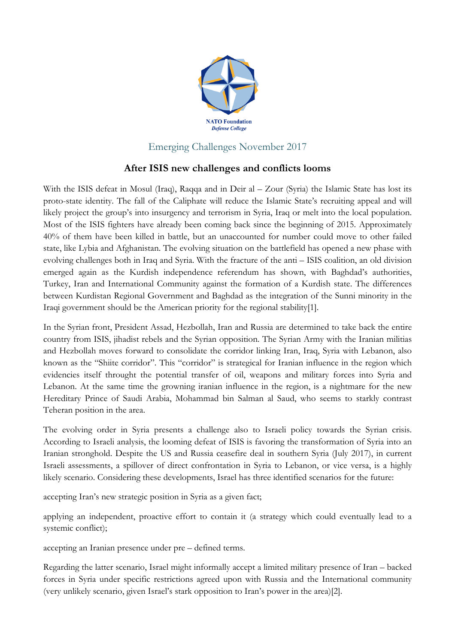

## Emerging Challenges November 2017

## **After ISIS new challenges and conflicts looms**

With the ISIS defeat in Mosul (Iraq), Raqqa and in Deir al – Zour (Syria) the Islamic State has lost its proto-state identity. The fall of the Caliphate will reduce the Islamic State's recruiting appeal and will likely project the group's into insurgency and terrorism in Syria, Iraq or melt into the local population. Most of the ISIS fighters have already been coming back since the beginning of 2015. Approximately 40% of them have been killed in battle, but an unaccounted for number could move to other failed state, like Lybia and Afghanistan. The evolving situation on the battlefield has opened a new phase with evolving challenges both in Iraq and Syria. With the fracture of the anti – ISIS coalition, an old division emerged again as the Kurdish independence referendum has shown, with Baghdad's authorities, Turkey, Iran and International Community against the formation of a Kurdish state. The differences between Kurdistan Regional Government and Baghdad as the integration of the Sunni minority in the Iraqi government should be the American priority for the regional stability[1].

In the Syrian front, President Assad, Hezbollah, Iran and Russia are determined to take back the entire country from ISIS, jihadist rebels and the Syrian opposition. The Syrian Army with the Iranian militias and Hezbollah moves forward to consolidate the corridor linking Iran, Iraq, Syria with Lebanon, also known as the "Shiite corridor". This "corridor" is strategical for Iranian influence in the region which evidencies itself throught the potential transfer of oil, weapons and military forces into Syria and Lebanon. At the same time the growning iranian influence in the region, is a nightmare for the new Hereditary Prince of Saudi Arabia, Mohammad bin Salman al Saud, who seems to starkly contrast Teheran position in the area.

The evolving order in Syria presents a challenge also to Israeli policy towards the Syrian crisis. According to Israeli analysis, the looming defeat of ISIS is favoring the transformation of Syria into an Iranian stronghold. Despite the US and Russia ceasefire deal in southern Syria (July 2017), in current Israeli assessments, a spillover of direct confrontation in Syria to Lebanon, or vice versa, is a highly likely scenario. Considering these developments, Israel has three identified scenarios for the future:

accepting Iran's new strategic position in Syria as a given fact;

applying an independent, proactive effort to contain it (a strategy which could eventually lead to a systemic conflict);

accepting an Iranian presence under pre – defined terms.

Regarding the latter scenario, Israel might informally accept a limited military presence of Iran – backed forces in Syria under specific restrictions agreed upon with Russia and the International community (very unlikely scenario, given Israel's stark opposition to Iran's power in the area)[2].